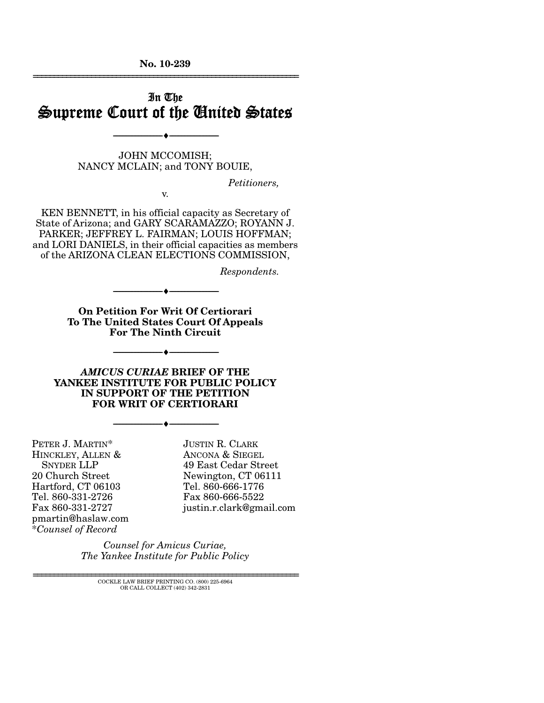**No. 10-239**  ================================================================

# In The Supreme Court of the United States

JOHN MCCOMISH; NANCY MCLAIN; and TONY BOUIE,

--------------------------------- ♦ ---------------------------------

*Petitioners,* 

v.

KEN BENNETT, in his official capacity as Secretary of State of Arizona; and GARY SCARAMAZZO; ROYANN J. PARKER; JEFFREY L. FAIRMAN; LOUIS HOFFMAN; and LORI DANIELS, in their official capacities as members of the ARIZONA CLEAN ELECTIONS COMMISSION,

*Respondents.* 

**On Petition For Writ Of Certiorari To The United States Court Of Appeals For The Ninth Circuit** 

--------------------------------- ♦ ---------------------------------

--------------------------------- ♦ ---------------------------------

*AMICUS CURIAE* **BRIEF OF THE YANKEE INSTITUTE FOR PUBLIC POLICY IN SUPPORT OF THE PETITION FOR WRIT OF CERTIORARI** 

--------------------------------- ♦ ---------------------------------

PETER J. MARTIN\* HINCKLEY, ALLEN & SNYDER LLP 20 Church Street Hartford, CT 06103 Tel. 860-331-2726 Fax 860-331-2727 pmartin@haslaw.com \**Counsel of Record*

JUSTIN R. CLARK ANCONA & SIEGEL 49 East Cedar Street Newington, CT 06111 Tel. 860-666-1776 Fax 860-666-5522 justin.r.clark@gmail.com

*Counsel for Amicus Curiae, The Yankee Institute for Public Policy*

================================================================ COCKLE LAW BRIEF PRINTING CO. (800) 225-6964 OR CALL COLLECT (402) 342-2831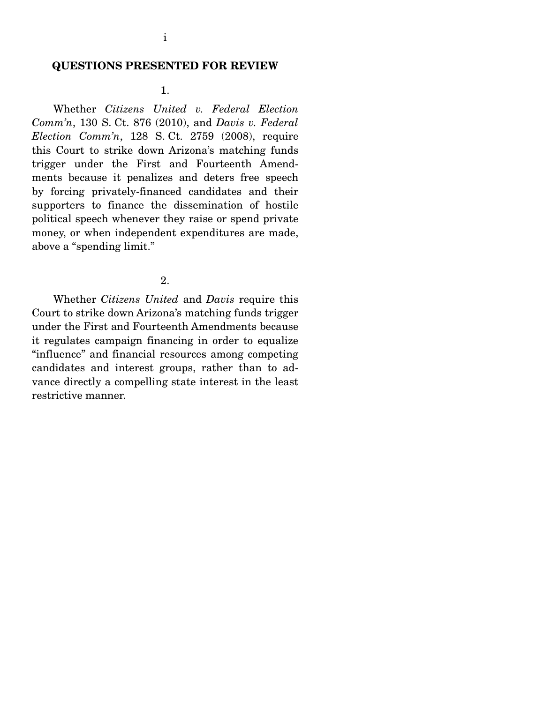#### **QUESTIONS PRESENTED FOR REVIEW**

#### 1.

 Whether *Citizens United v. Federal Election Comm'n*, 130 S. Ct. 876 (2010), and *Davis v. Federal Election Comm'n*, 128 S. Ct. 2759 (2008), require this Court to strike down Arizona's matching funds trigger under the First and Fourteenth Amendments because it penalizes and deters free speech by forcing privately-financed candidates and their supporters to finance the dissemination of hostile political speech whenever they raise or spend private money, or when independent expenditures are made, above a "spending limit."

#### 2.

 Whether *Citizens United* and *Davis* require this Court to strike down Arizona's matching funds trigger under the First and Fourteenth Amendments because it regulates campaign financing in order to equalize "influence" and financial resources among competing candidates and interest groups, rather than to advance directly a compelling state interest in the least restrictive manner.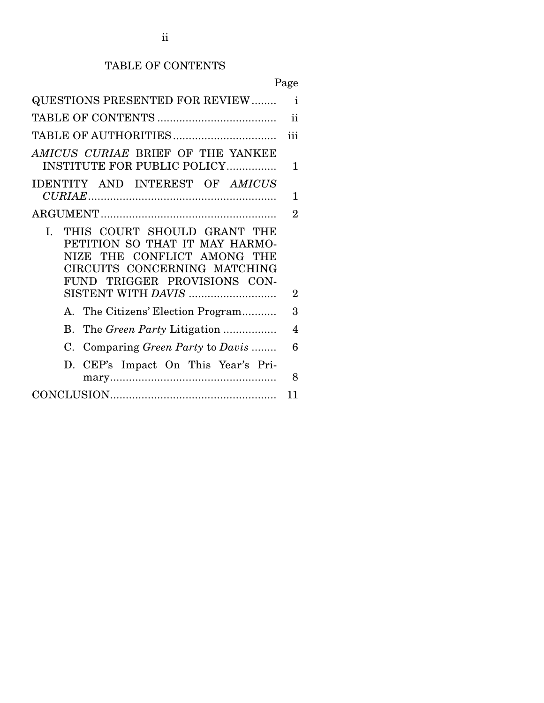# TABLE OF CONTENTS

|                                                                                                                                                                    | Page                     |
|--------------------------------------------------------------------------------------------------------------------------------------------------------------------|--------------------------|
| <b>QUESTIONS PRESENTED FOR REVIEW</b>                                                                                                                              | $\mathbf{i}$             |
|                                                                                                                                                                    | ii                       |
|                                                                                                                                                                    | iii                      |
| AMICUS CURIAE BRIEF OF THE YANKEE<br><b>INSTITUTE FOR PUBLIC POLICY</b>                                                                                            | 1                        |
| IDENTITY AND INTEREST OF AMICUS                                                                                                                                    |                          |
|                                                                                                                                                                    | 1                        |
|                                                                                                                                                                    | 2                        |
| THIS COURT SHOULD GRANT THE<br>L.<br>PETITION SO THAT IT MAY HARMO-<br>NIZE THE CONFLICT AMONG THE<br>CIRCUITS CONCERNING MATCHING<br>FUND TRIGGER PROVISIONS CON- |                          |
| SISTENT WITH DAVIS                                                                                                                                                 | 2                        |
| A. The Citizens' Election Program                                                                                                                                  | 3                        |
| B. The Green Party Litigation                                                                                                                                      | $\overline{\mathcal{A}}$ |
| C. Comparing Green Party to Davis                                                                                                                                  | 6                        |
| D. CEP's Impact On This Year's Pri-                                                                                                                                | 8                        |
|                                                                                                                                                                    | 11                       |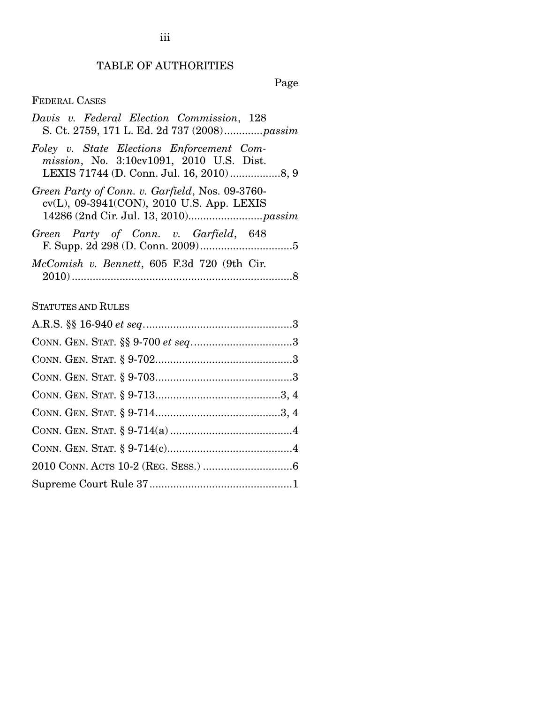# TABLE OF AUTHORITIES

Page

## FEDERAL CASES

| Davis v. Federal Election Commission, 128<br>S. Ct. 2759, 171 L. Ed. 2d 737 (2008) <i>passim</i> |
|--------------------------------------------------------------------------------------------------|
| Foley v. State Elections Enforcement Com-<br>mission, No. 3:10cv1091, 2010 U.S. Dist.            |
| Green Party of Conn. v. Garfield, Nos. 09-3760-<br>cv(L), 09-3941(CON), 2010 U.S. App. LEXIS     |
| Green Party of Conn. v. Garfield, 648                                                            |
| McComish v. Bennett, 605 F.3d 720 (9th Cir.                                                      |

## STATUTES AND RULES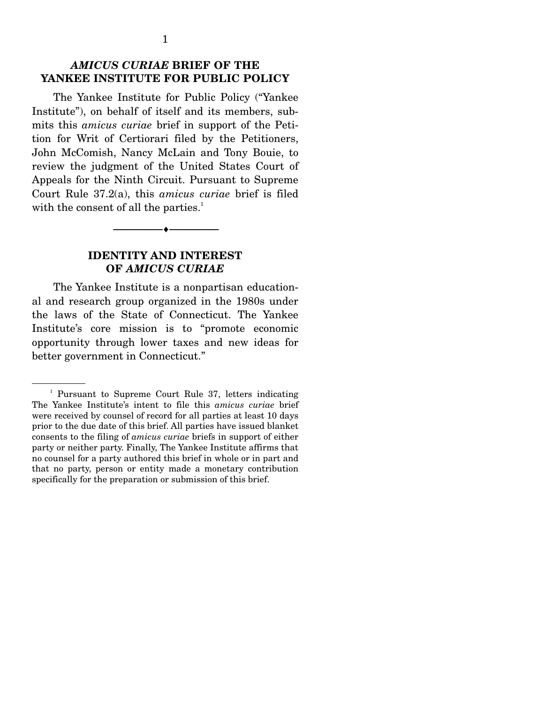### *AMICUS CURIAE* **BRIEF OF THE YANKEE INSTITUTE FOR PUBLIC POLICY**

The Yankee Institute for Public Policy ("Yankee Institute"), on behalf of itself and its members, submits this *amicus curiae* brief in support of the Petition for Writ of Certiorari filed by the Petitioners, John McComish, Nancy McLain and Tony Bouie, to review the judgment of the United States Court of Appeals for the Ninth Circuit. Pursuant to Supreme Court Rule 37.2(a), this *amicus curiae* brief is filed with the consent of all the parties.<sup>1</sup>

### **IDENTITY AND INTEREST OF** *AMICUS CURIAE*

--------------------------------- ♦ ---------------------------------

The Yankee Institute is a nonpartisan educational and research group organized in the 1980s under the laws of the State of Connecticut. The Yankee Institute's core mission is to "promote economic opportunity through lower taxes and new ideas for better government in Connecticut."

<sup>&</sup>lt;sup>1</sup> Pursuant to Supreme Court Rule 37, letters indicating The Yankee Institute's intent to file this *amicus curiae* brief were received by counsel of record for all parties at least 10 days prior to the due date of this brief. All parties have issued blanket consents to the filing of *amicus curiae* briefs in support of either party or neither party. Finally, The Yankee Institute affirms that no counsel for a party authored this brief in whole or in part and that no party, person or entity made a monetary contribution specifically for the preparation or submission of this brief.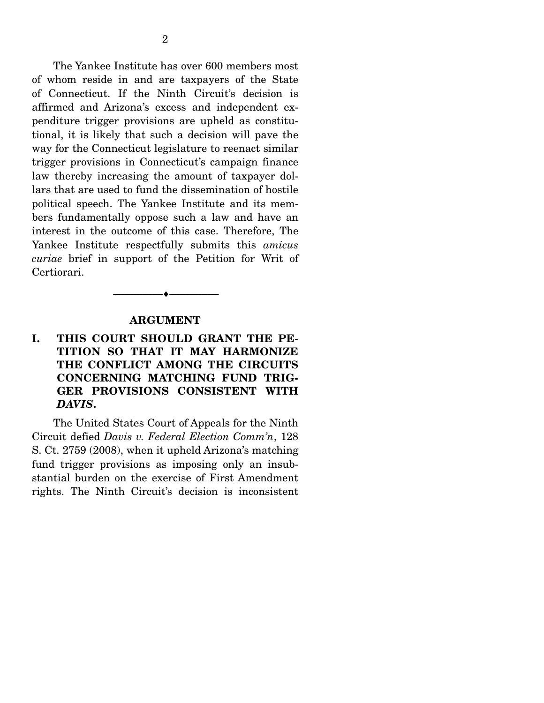The Yankee Institute has over 600 members most of whom reside in and are taxpayers of the State of Connecticut. If the Ninth Circuit's decision is affirmed and Arizona's excess and independent expenditure trigger provisions are upheld as constitutional, it is likely that such a decision will pave the way for the Connecticut legislature to reenact similar trigger provisions in Connecticut's campaign finance law thereby increasing the amount of taxpayer dollars that are used to fund the dissemination of hostile political speech. The Yankee Institute and its members fundamentally oppose such a law and have an interest in the outcome of this case. Therefore, The Yankee Institute respectfully submits this *amicus curiae* brief in support of the Petition for Writ of Certiorari.

#### **ARGUMENT**

--------------------------------- ♦ ---------------------------------

### **I. THIS COURT SHOULD GRANT THE PE-TITION SO THAT IT MAY HARMONIZE THE CONFLICT AMONG THE CIRCUITS CONCERNING MATCHING FUND TRIG-GER PROVISIONS CONSISTENT WITH**  *DAVIS***.**

The United States Court of Appeals for the Ninth Circuit defied *Davis v. Federal Election Comm'n*, 128 S. Ct. 2759 (2008), when it upheld Arizona's matching fund trigger provisions as imposing only an insubstantial burden on the exercise of First Amendment rights. The Ninth Circuit's decision is inconsistent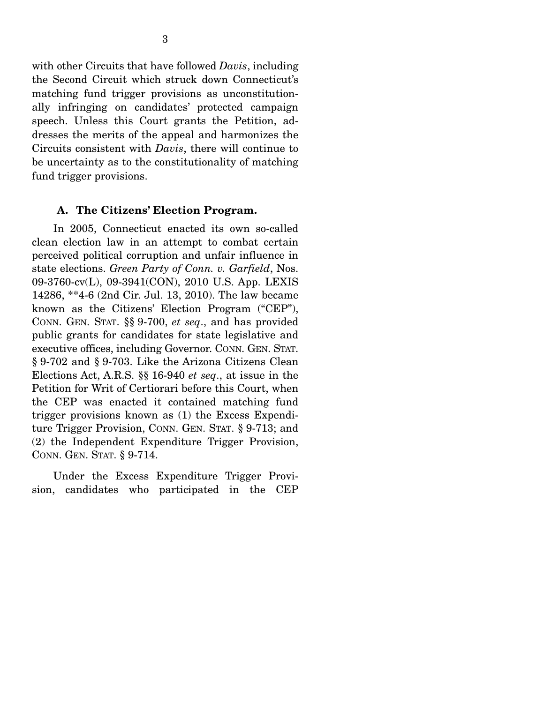with other Circuits that have followed *Davis*, including the Second Circuit which struck down Connecticut's matching fund trigger provisions as unconstitutionally infringing on candidates' protected campaign speech. Unless this Court grants the Petition, addresses the merits of the appeal and harmonizes the Circuits consistent with *Davis*, there will continue to be uncertainty as to the constitutionality of matching fund trigger provisions.

#### **A. The Citizens' Election Program.**

 In 2005, Connecticut enacted its own so-called clean election law in an attempt to combat certain perceived political corruption and unfair influence in state elections. *Green Party of Conn. v. Garfield*, Nos. 09-3760-cv(L), 09-3941(CON), 2010 U.S. App. LEXIS 14286, \*\*4-6 (2nd Cir. Jul. 13, 2010). The law became known as the Citizens' Election Program ("CEP"), CONN. GEN. STAT. §§ 9-700, *et seq*., and has provided public grants for candidates for state legislative and executive offices, including Governor. CONN. GEN. STAT. § 9-702 and § 9-703. Like the Arizona Citizens Clean Elections Act, A.R.S. §§ 16-940 *et seq*., at issue in the Petition for Writ of Certiorari before this Court, when the CEP was enacted it contained matching fund trigger provisions known as (1) the Excess Expenditure Trigger Provision, CONN. GEN. STAT. § 9-713; and (2) the Independent Expenditure Trigger Provision, CONN. GEN. STAT. § 9-714.

 Under the Excess Expenditure Trigger Provision, candidates who participated in the CEP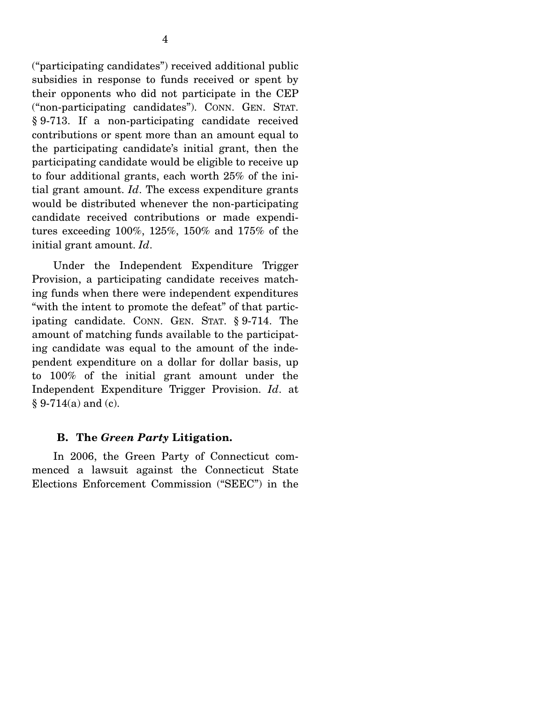("participating candidates") received additional public subsidies in response to funds received or spent by their opponents who did not participate in the CEP ("non-participating candidates"). CONN. GEN. STAT. § 9-713. If a non-participating candidate received contributions or spent more than an amount equal to the participating candidate's initial grant, then the participating candidate would be eligible to receive up to four additional grants, each worth 25% of the initial grant amount. *Id*. The excess expenditure grants would be distributed whenever the non-participating candidate received contributions or made expenditures exceeding 100%, 125%, 150% and 175% of the initial grant amount. *Id*.

 Under the Independent Expenditure Trigger Provision, a participating candidate receives matching funds when there were independent expenditures "with the intent to promote the defeat" of that participating candidate. CONN. GEN. STAT. § 9-714. The amount of matching funds available to the participating candidate was equal to the amount of the independent expenditure on a dollar for dollar basis, up to 100% of the initial grant amount under the Independent Expenditure Trigger Provision. *Id*. at  $§ 9-714(a)$  and (c).

#### **B. The** *Green Party* **Litigation.**

In 2006, the Green Party of Connecticut commenced a lawsuit against the Connecticut State Elections Enforcement Commission ("SEEC") in the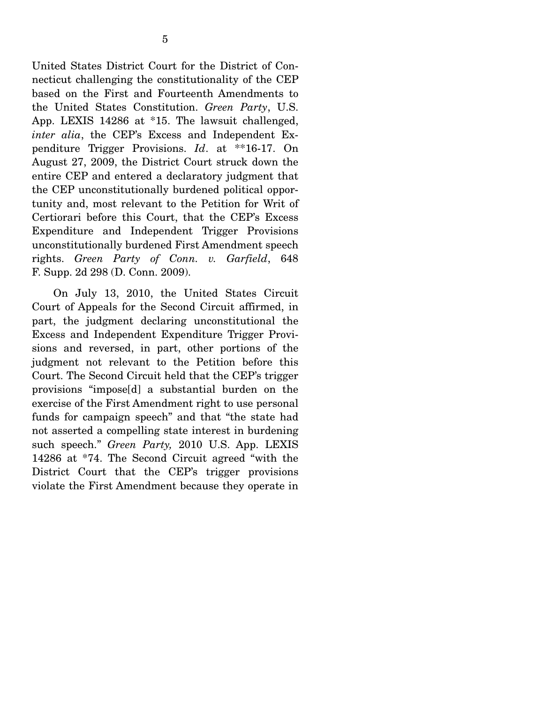United States District Court for the District of Connecticut challenging the constitutionality of the CEP based on the First and Fourteenth Amendments to the United States Constitution. *Green Party*, U.S. App. LEXIS 14286 at \*15. The lawsuit challenged, *inter alia*, the CEP's Excess and Independent Expenditure Trigger Provisions. *Id*. at \*\*16-17. On August 27, 2009, the District Court struck down the entire CEP and entered a declaratory judgment that the CEP unconstitutionally burdened political opportunity and, most relevant to the Petition for Writ of Certiorari before this Court, that the CEP's Excess Expenditure and Independent Trigger Provisions unconstitutionally burdened First Amendment speech rights. *Green Party of Conn. v. Garfield*, 648 F. Supp. 2d 298 (D. Conn. 2009).

 On July 13, 2010, the United States Circuit Court of Appeals for the Second Circuit affirmed, in part, the judgment declaring unconstitutional the Excess and Independent Expenditure Trigger Provisions and reversed, in part, other portions of the judgment not relevant to the Petition before this Court. The Second Circuit held that the CEP's trigger provisions "impose[d] a substantial burden on the exercise of the First Amendment right to use personal funds for campaign speech" and that "the state had not asserted a compelling state interest in burdening such speech." *Green Party,* 2010 U.S. App. LEXIS 14286 at \*74. The Second Circuit agreed "with the District Court that the CEP's trigger provisions violate the First Amendment because they operate in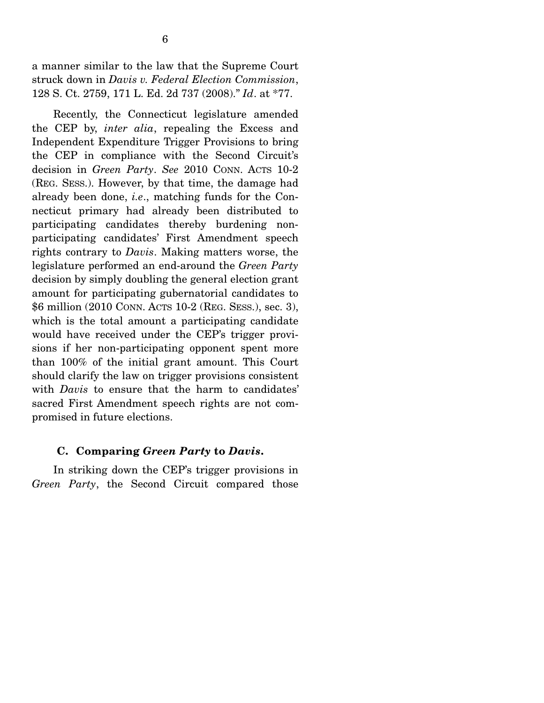a manner similar to the law that the Supreme Court struck down in *Davis v. Federal Election Commission*, 128 S. Ct. 2759, 171 L. Ed. 2d 737 (2008)." *Id*. at \*77.

 Recently, the Connecticut legislature amended the CEP by, *inter alia*, repealing the Excess and Independent Expenditure Trigger Provisions to bring the CEP in compliance with the Second Circuit's decision in *Green Party*. *See* 2010 CONN. ACTS 10-2 (REG. SESS.). However, by that time, the damage had already been done, *i.e*., matching funds for the Connecticut primary had already been distributed to participating candidates thereby burdening nonparticipating candidates' First Amendment speech rights contrary to *Davis*. Making matters worse, the legislature performed an end-around the *Green Party* decision by simply doubling the general election grant amount for participating gubernatorial candidates to \$6 million (2010 CONN. ACTS 10-2 (REG. SESS.), sec. 3), which is the total amount a participating candidate would have received under the CEP's trigger provisions if her non-participating opponent spent more than 100% of the initial grant amount. This Court should clarify the law on trigger provisions consistent with *Davis* to ensure that the harm to candidates' sacred First Amendment speech rights are not compromised in future elections.

### **C. Comparing** *Green Party* **to** *Davis***.**

In striking down the CEP's trigger provisions in *Green Party*, the Second Circuit compared those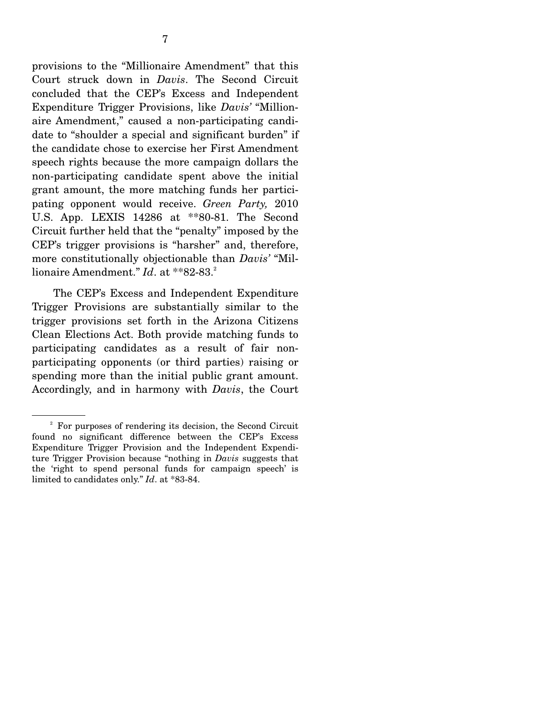provisions to the "Millionaire Amendment" that this Court struck down in *Davis*. The Second Circuit concluded that the CEP's Excess and Independent Expenditure Trigger Provisions, like *Davis'* "Millionaire Amendment," caused a non-participating candidate to "shoulder a special and significant burden" if the candidate chose to exercise her First Amendment speech rights because the more campaign dollars the non-participating candidate spent above the initial grant amount, the more matching funds her participating opponent would receive. *Green Party,* 2010 U.S. App. LEXIS 14286 at \*\*80-81. The Second Circuit further held that the "penalty" imposed by the CEP's trigger provisions is "harsher" and, therefore, more constitutionally objectionable than *Davis'* "Millionaire Amendment." *Id*. at \*\*82-83.<sup>2</sup>

 The CEP's Excess and Independent Expenditure Trigger Provisions are substantially similar to the trigger provisions set forth in the Arizona Citizens Clean Elections Act. Both provide matching funds to participating candidates as a result of fair nonparticipating opponents (or third parties) raising or spending more than the initial public grant amount. Accordingly, and in harmony with *Davis*, the Court

<sup>&</sup>lt;sup>2</sup> For purposes of rendering its decision, the Second Circuit found no significant difference between the CEP's Excess Expenditure Trigger Provision and the Independent Expenditure Trigger Provision because "nothing in *Davis* suggests that the 'right to spend personal funds for campaign speech' is limited to candidates only." *Id*. at \*83-84.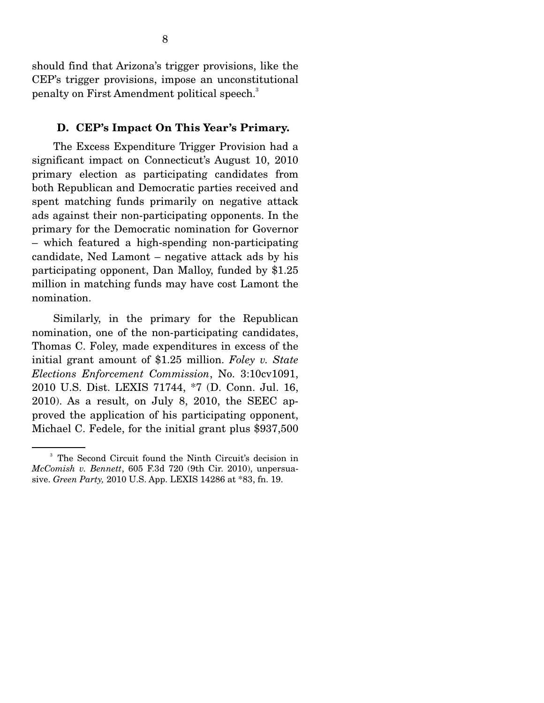should find that Arizona's trigger provisions, like the CEP's trigger provisions, impose an unconstitutional penalty on First Amendment political speech.<sup>3</sup>

#### **D. CEP's Impact On This Year's Primary.**

The Excess Expenditure Trigger Provision had a significant impact on Connecticut's August 10, 2010 primary election as participating candidates from both Republican and Democratic parties received and spent matching funds primarily on negative attack ads against their non-participating opponents. In the primary for the Democratic nomination for Governor – which featured a high-spending non-participating candidate, Ned Lamont – negative attack ads by his participating opponent, Dan Malloy, funded by \$1.25 million in matching funds may have cost Lamont the nomination.

 Similarly, in the primary for the Republican nomination, one of the non-participating candidates, Thomas C. Foley, made expenditures in excess of the initial grant amount of \$1.25 million. *Foley v. State Elections Enforcement Commission*, No. 3:10cv1091, 2010 U.S. Dist. LEXIS 71744, \*7 (D. Conn. Jul. 16, 2010). As a result, on July 8, 2010, the SEEC approved the application of his participating opponent, Michael C. Fedele, for the initial grant plus \$937,500

<sup>&</sup>lt;sup>3</sup> The Second Circuit found the Ninth Circuit's decision in *McComish v. Bennett*, 605 F.3d 720 (9th Cir. 2010), unpersuasive. *Green Party,* 2010 U.S. App. LEXIS 14286 at \*83, fn. 19.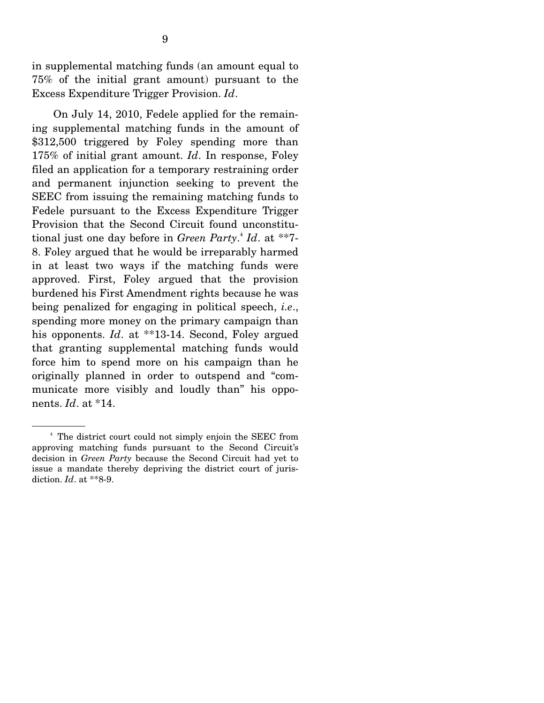in supplemental matching funds (an amount equal to 75% of the initial grant amount) pursuant to the Excess Expenditure Trigger Provision. *Id*.

 On July 14, 2010, Fedele applied for the remaining supplemental matching funds in the amount of \$312,500 triggered by Foley spending more than 175% of initial grant amount. *Id*. In response, Foley filed an application for a temporary restraining order and permanent injunction seeking to prevent the SEEC from issuing the remaining matching funds to Fedele pursuant to the Excess Expenditure Trigger Provision that the Second Circuit found unconstitutional just one day before in *Green Party*. 4 *Id*. at \*\*7- 8. Foley argued that he would be irreparably harmed in at least two ways if the matching funds were approved. First, Foley argued that the provision burdened his First Amendment rights because he was being penalized for engaging in political speech, *i.e*., spending more money on the primary campaign than his opponents. *Id.* at \*\*13-14. Second, Foley argued that granting supplemental matching funds would force him to spend more on his campaign than he originally planned in order to outspend and "communicate more visibly and loudly than" his opponents. *Id*. at \*14.

<sup>4</sup> The district court could not simply enjoin the SEEC from approving matching funds pursuant to the Second Circuit's decision in *Green Party* because the Second Circuit had yet to issue a mandate thereby depriving the district court of jurisdiction. *Id*. at \*\*8-9.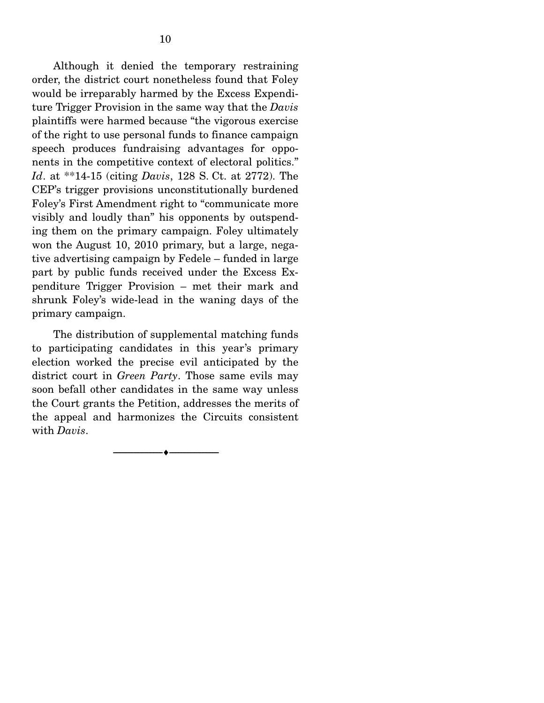Although it denied the temporary restraining order, the district court nonetheless found that Foley would be irreparably harmed by the Excess Expenditure Trigger Provision in the same way that the *Davis* plaintiffs were harmed because "the vigorous exercise of the right to use personal funds to finance campaign speech produces fundraising advantages for opponents in the competitive context of electoral politics." *Id*. at \*\*14-15 (citing *Davis*, 128 S. Ct. at 2772). The CEP's trigger provisions unconstitutionally burdened Foley's First Amendment right to "communicate more visibly and loudly than" his opponents by outspending them on the primary campaign. Foley ultimately won the August 10, 2010 primary, but a large, negative advertising campaign by Fedele – funded in large part by public funds received under the Excess Expenditure Trigger Provision – met their mark and shrunk Foley's wide-lead in the waning days of the primary campaign.

 The distribution of supplemental matching funds to participating candidates in this year's primary election worked the precise evil anticipated by the district court in *Green Party*. Those same evils may soon befall other candidates in the same way unless the Court grants the Petition, addresses the merits of the appeal and harmonizes the Circuits consistent with *Davis*.

--------------------------------- ♦ ---------------------------------